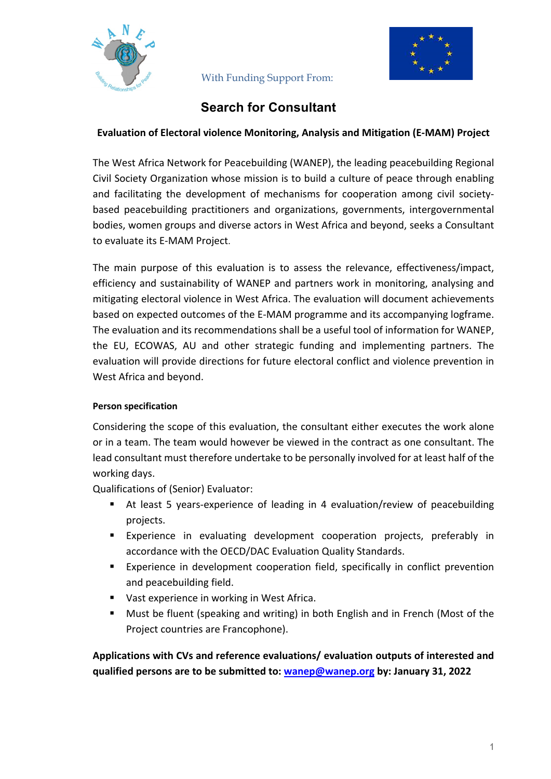



# **Search for Consultant**

#### **Evaluation of Electoral violence Monitoring, Analysis and Mitigation (E-MAM) Project**

The West Africa Network for Peacebuilding (WANEP), the leading peacebuilding Regional Civil Society Organization whose mission is to build a culture of peace through enabling and facilitating the development of mechanisms for cooperation among civil societybased peacebuilding practitioners and organizations, governments, intergovernmental bodies, women groups and diverse actors in West Africa and beyond, seeks a Consultant to evaluate its E-MAM Project.

The main purpose of this evaluation is to assess the relevance, effectiveness/impact, efficiency and sustainability of WANEP and partners work in monitoring, analysing and mitigating electoral violence in West Africa. The evaluation will document achievements based on expected outcomes of the E-MAM programme and its accompanying logframe. The evaluation and its recommendations shall be a useful tool of information for WANEP, the EU, ECOWAS, AU and other strategic funding and implementing partners. The evaluation will provide directions for future electoral conflict and violence prevention in West Africa and beyond.

#### **Person specification**

Considering the scope of this evaluation, the consultant either executes the work alone or in a team. The team would however be viewed in the contract as one consultant. The lead consultant must therefore undertake to be personally involved for at least half of the working days.

Qualifications of (Senior) Evaluator:

- At least 5 years-experience of leading in 4 evaluation/review of peacebuilding projects.
- § Experience in evaluating development cooperation projects, preferably in accordance with the OECD/DAC Evaluation Quality Standards.
- Experience in development cooperation field, specifically in conflict prevention and peacebuilding field.
- Vast experience in working in West Africa.
- Must be fluent (speaking and writing) in both English and in French (Most of the Project countries are Francophone).

**Applications with CVs and reference evaluations/ evaluation outputs of interested and qualified persons are to be submitted to: wanep@wanep.org by: January 31, 2022**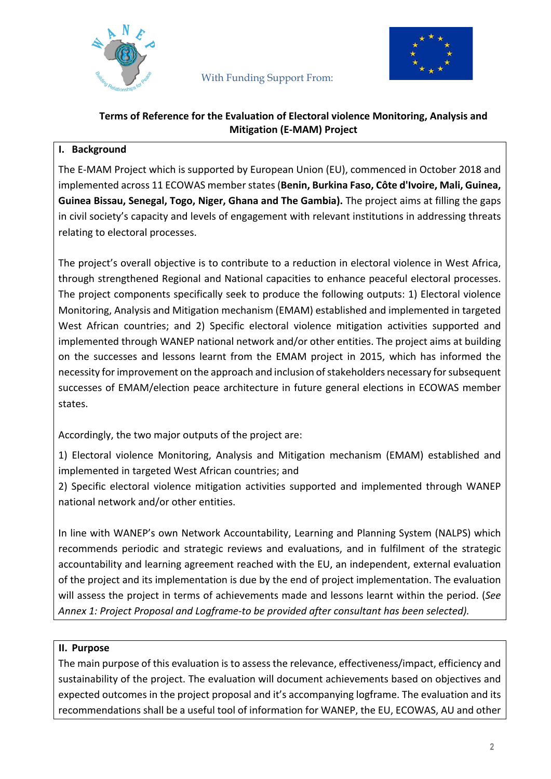



#### **Terms of Reference for the Evaluation of Electoral violence Monitoring, Analysis and Mitigation (E-MAM) Project**

## **I. Background**

The E-MAM Project which is supported by European Union (EU), commenced in October 2018 and implemented across 11 ECOWAS member states (**Benin, Burkina Faso, Côte d'Ivoire, Mali, Guinea, Guinea Bissau, Senegal, Togo, Niger, Ghana and The Gambia).** The project aims at filling the gaps in civil society's capacity and levels of engagement with relevant institutions in addressing threats relating to electoral processes.

The project's overall objective is to contribute to a reduction in electoral violence in West Africa, through strengthened Regional and National capacities to enhance peaceful electoral processes. The project components specifically seek to produce the following outputs: 1) Electoral violence Monitoring, Analysis and Mitigation mechanism (EMAM) established and implemented in targeted West African countries; and 2) Specific electoral violence mitigation activities supported and implemented through WANEP national network and/or other entities. The project aims at building on the successes and lessons learnt from the EMAM project in 2015, which has informed the necessity for improvement on the approach and inclusion of stakeholders necessary for subsequent successes of EMAM/election peace architecture in future general elections in ECOWAS member states.

Accordingly, the two major outputs of the project are:

1) Electoral violence Monitoring, Analysis and Mitigation mechanism (EMAM) established and implemented in targeted West African countries; and

2) Specific electoral violence mitigation activities supported and implemented through WANEP national network and/or other entities.

In line with WANEP's own Network Accountability, Learning and Planning System (NALPS) which recommends periodic and strategic reviews and evaluations, and in fulfilment of the strategic accountability and learning agreement reached with the EU, an independent, external evaluation of the project and its implementation is due by the end of project implementation. The evaluation will assess the project in terms of achievements made and lessons learnt within the period. (*See Annex 1: Project Proposal and Logframe-to be provided after consultant has been selected).*

### **II. Purpose**

The main purpose of this evaluation is to assess the relevance, effectiveness/impact, efficiency and sustainability of the project. The evaluation will document achievements based on objectives and expected outcomes in the project proposal and it's accompanying logframe. The evaluation and its recommendations shall be a useful tool of information for WANEP, the EU, ECOWAS, AU and other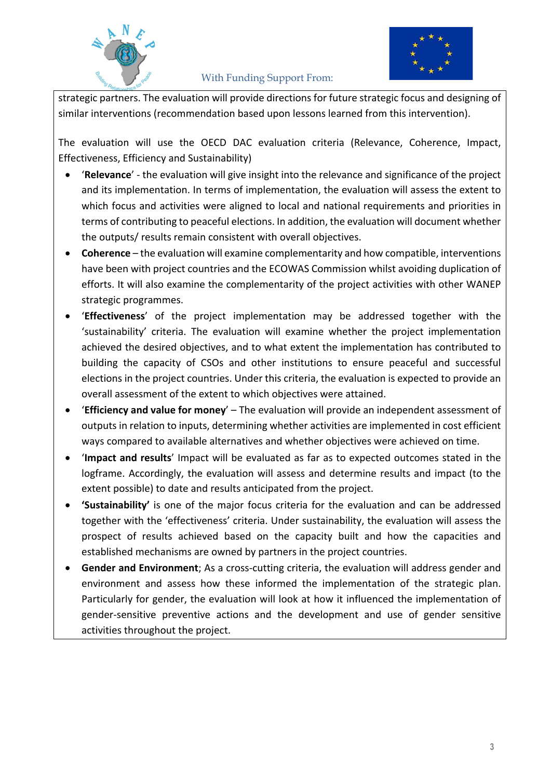



strategic partners. The evaluation will provide directions for future strategic focus and designing of similar interventions (recommendation based upon lessons learned from this intervention).

The evaluation will use the OECD DAC evaluation criteria (Relevance, Coherence, Impact, Effectiveness, Efficiency and Sustainability)

- '**Relevance**' the evaluation will give insight into the relevance and significance of the project and its implementation. In terms of implementation, the evaluation will assess the extent to which focus and activities were aligned to local and national requirements and priorities in terms of contributing to peaceful elections. In addition, the evaluation will document whether the outputs/ results remain consistent with overall objectives.
- **Coherence**  the evaluation will examine complementarity and how compatible, interventions have been with project countries and the ECOWAS Commission whilst avoiding duplication of efforts. It will also examine the complementarity of the project activities with other WANEP strategic programmes.
- '**Effectiveness**' of the project implementation may be addressed together with the 'sustainability' criteria. The evaluation will examine whether the project implementation achieved the desired objectives, and to what extent the implementation has contributed to building the capacity of CSOs and other institutions to ensure peaceful and successful elections in the project countries. Under this criteria, the evaluation is expected to provide an overall assessment of the extent to which objectives were attained.
- '**Efficiency and value for money**' The evaluation will provide an independent assessment of outputs in relation to inputs, determining whether activities are implemented in cost efficient ways compared to available alternatives and whether objectives were achieved on time.
- '**Impact and results**' Impact will be evaluated as far as to expected outcomes stated in the logframe. Accordingly, the evaluation will assess and determine results and impact (to the extent possible) to date and results anticipated from the project.
- **'Sustainability'** is one of the major focus criteria for the evaluation and can be addressed together with the 'effectiveness' criteria. Under sustainability, the evaluation will assess the prospect of results achieved based on the capacity built and how the capacities and established mechanisms are owned by partners in the project countries.
- **Gender and Environment**; As a cross-cutting criteria, the evaluation will address gender and environment and assess how these informed the implementation of the strategic plan. Particularly for gender, the evaluation will look at how it influenced the implementation of gender-sensitive preventive actions and the development and use of gender sensitive activities throughout the project.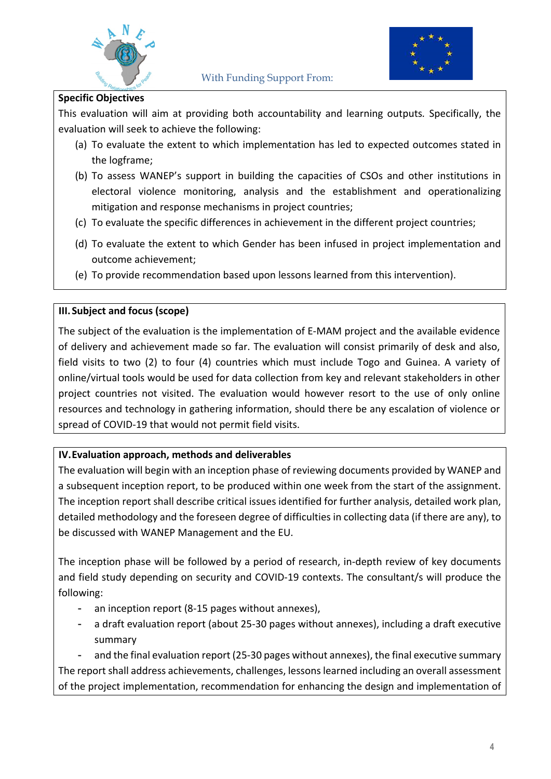



#### **Specific Objectives**

This evaluation will aim at providing both accountability and learning outputs*.* Specifically, the evaluation will seek to achieve the following:

- (a) To evaluate the extent to which implementation has led to expected outcomes stated in the logframe;
- (b) To assess WANEP's support in building the capacities of CSOs and other institutions in electoral violence monitoring, analysis and the establishment and operationalizing mitigation and response mechanisms in project countries;
- (c) To evaluate the specific differences in achievement in the different project countries;
- (d) To evaluate the extent to which Gender has been infused in project implementation and outcome achievement;
- (e) To provide recommendation based upon lessons learned from this intervention).

#### **III.Subject and focus (scope)**

The subject of the evaluation is the implementation of E-MAM project and the available evidence of delivery and achievement made so far. The evaluation will consist primarily of desk and also, field visits to two (2) to four (4) countries which must include Togo and Guinea. A variety of online/virtual tools would be used for data collection from key and relevant stakeholders in other project countries not visited. The evaluation would however resort to the use of only online resources and technology in gathering information, should there be any escalation of violence or spread of COVID-19 that would not permit field visits.

#### **IV.Evaluation approach, methods and deliverables**

The evaluation will begin with an inception phase of reviewing documents provided by WANEP and a subsequent inception report, to be produced within one week from the start of the assignment. The inception report shall describe critical issues identified for further analysis, detailed work plan, detailed methodology and the foreseen degree of difficulties in collecting data (if there are any), to be discussed with WANEP Management and the EU.

The inception phase will be followed by a period of research, in-depth review of key documents and field study depending on security and COVID-19 contexts. The consultant/s will produce the following:

- an inception report (8-15 pages without annexes),
- a draft evaluation report (about 25-30 pages without annexes), including a draft executive summary

and the final evaluation report (25-30 pages without annexes), the final executive summary The report shall address achievements, challenges, lessons learned including an overall assessment of the project implementation, recommendation for enhancing the design and implementation of